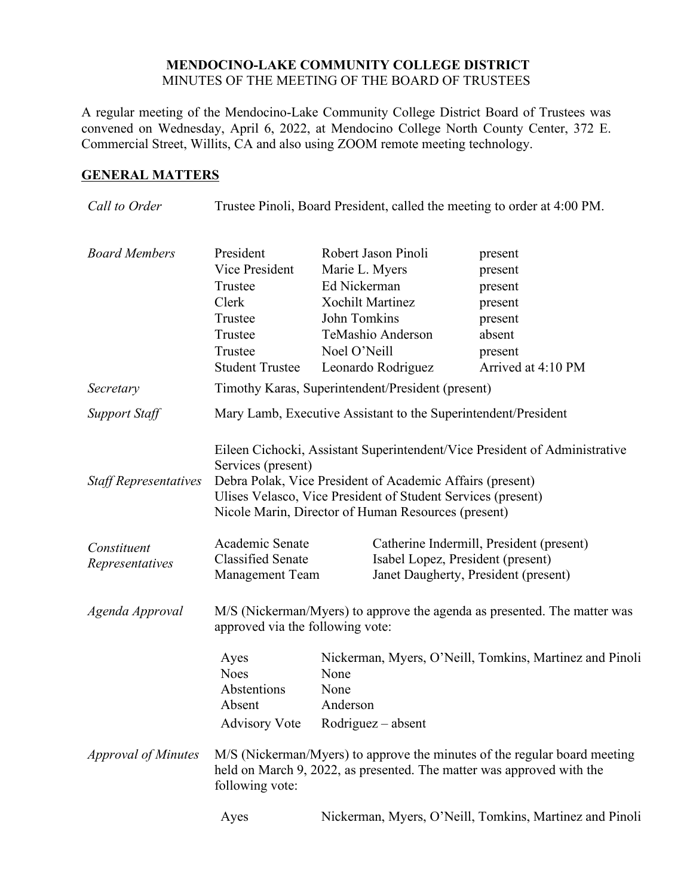#### **MENDOCINO-LAKE COMMUNITY COLLEGE DISTRICT** MINUTES OF THE MEETING OF THE BOARD OF TRUSTEES

A regular meeting of the Mendocino-Lake Community College District Board of Trustees was convened on Wednesday, April 6, 2022, at Mendocino College North County Center, 372 E. Commercial Street, Willits, CA and also using ZOOM remote meeting technology.

## **GENERAL MATTERS**

| Call to Order                                                  |                                                                                                                                                                                                                                                                                                                                                                                                                      | Trustee Pinoli, Board President, called the meeting to order at 4:00 PM.                                                                                    |                                                                                                |
|----------------------------------------------------------------|----------------------------------------------------------------------------------------------------------------------------------------------------------------------------------------------------------------------------------------------------------------------------------------------------------------------------------------------------------------------------------------------------------------------|-------------------------------------------------------------------------------------------------------------------------------------------------------------|------------------------------------------------------------------------------------------------|
| <b>Board Members</b>                                           | President<br>Vice President<br>Trustee<br>Clerk<br>Trustee<br>Trustee<br>Trustee<br><b>Student Trustee</b>                                                                                                                                                                                                                                                                                                           | Robert Jason Pinoli<br>Marie L. Myers<br>Ed Nickerman<br><b>Xochilt Martinez</b><br>John Tomkins<br>TeMashio Anderson<br>Noel O'Neill<br>Leonardo Rodriguez | present<br>present<br>present<br>present<br>present<br>absent<br>present<br>Arrived at 4:10 PM |
| Secretary                                                      |                                                                                                                                                                                                                                                                                                                                                                                                                      | Timothy Karas, Superintendent/President (present)                                                                                                           |                                                                                                |
| <b>Support Staff</b>                                           | Mary Lamb, Executive Assistant to the Superintendent/President                                                                                                                                                                                                                                                                                                                                                       |                                                                                                                                                             |                                                                                                |
| <b>Staff Representatives</b><br>Constituent<br>Representatives | Eileen Cichocki, Assistant Superintendent/Vice President of Administrative<br>Services (present)<br>Debra Polak, Vice President of Academic Affairs (present)<br>Ulises Velasco, Vice President of Student Services (present)<br>Nicole Marin, Director of Human Resources (present)<br>Academic Senate<br>Catherine Indermill, President (present)<br><b>Classified Senate</b><br>Isabel Lopez, President (present) |                                                                                                                                                             |                                                                                                |
| Agenda Approval                                                | <b>Management Team</b><br>Janet Daugherty, President (present)<br>M/S (Nickerman/Myers) to approve the agenda as presented. The matter was<br>approved via the following vote:                                                                                                                                                                                                                                       |                                                                                                                                                             |                                                                                                |
|                                                                | Ayes<br><b>Noes</b><br>Abstentions<br>Absent<br><b>Advisory Vote</b>                                                                                                                                                                                                                                                                                                                                                 | None<br>None<br>Anderson<br>$Rodriguez - absent$                                                                                                            | Nickerman, Myers, O'Neill, Tomkins, Martinez and Pinoli                                        |
| <b>Approval of Minutes</b>                                     | M/S (Nickerman/Myers) to approve the minutes of the regular board meeting<br>held on March 9, 2022, as presented. The matter was approved with the<br>following vote:                                                                                                                                                                                                                                                |                                                                                                                                                             |                                                                                                |
|                                                                | Ayes                                                                                                                                                                                                                                                                                                                                                                                                                 |                                                                                                                                                             | Nickerman, Myers, O'Neill, Tomkins, Martinez and Pinoli                                        |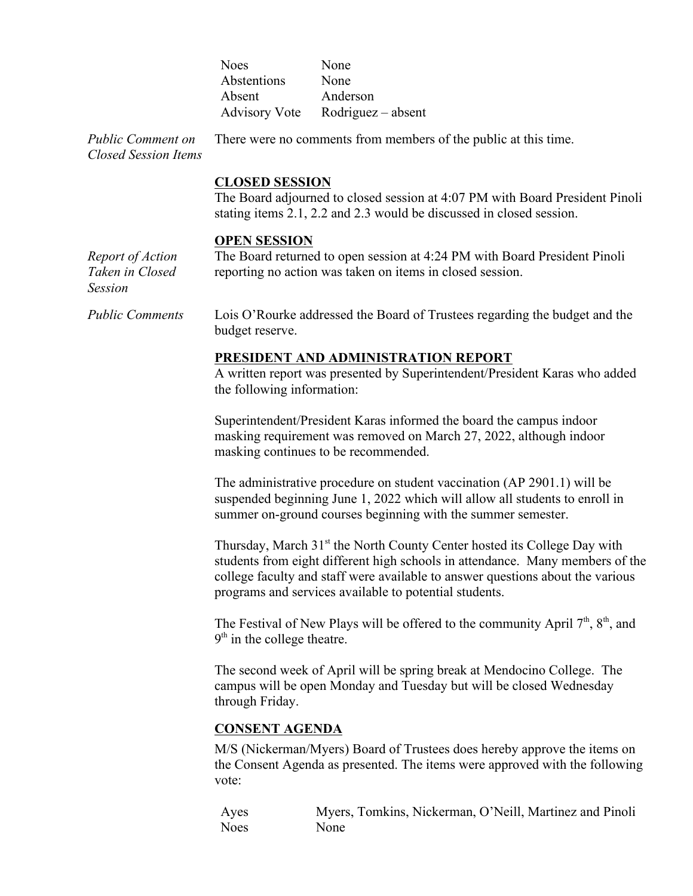| <b>Noes</b> | None                             |
|-------------|----------------------------------|
| Abstentions | None                             |
| Absent      | Anderson                         |
|             | Advisory Vote Rodriguez – absent |

*Public Comment on Closed Session Items* There were no comments from members of the public at this time.

#### **CLOSED SESSION**

The Board adjourned to closed session at 4:07 PM with Board President Pinoli stating items 2.1, 2.2 and 2.3 would be discussed in closed session.

#### **OPEN SESSION**

*Report of Action Taken in Closed Session*

The Board returned to open session at 4:24 PM with Board President Pinoli reporting no action was taken on items in closed session.

*Public Comments* Lois O'Rourke addressed the Board of Trustees regarding the budget and the budget reserve.

#### **PRESIDENT AND ADMINISTRATION REPORT**

A written report was presented by Superintendent/President Karas who added the following information:

Superintendent/President Karas informed the board the campus indoor masking requirement was removed on March 27, 2022, although indoor masking continues to be recommended.

The administrative procedure on student vaccination (AP 2901.1) will be suspended beginning June 1, 2022 which will allow all students to enroll in summer on-ground courses beginning with the summer semester.

Thursday, March 31<sup>st</sup> the North County Center hosted its College Day with students from eight different high schools in attendance. Many members of the college faculty and staff were available to answer questions about the various programs and services available to potential students.

The Festival of New Plays will be offered to the community April  $7<sup>th</sup>$ ,  $8<sup>th</sup>$ , and  $9<sup>th</sup>$  in the college theatre.

The second week of April will be spring break at Mendocino College. The campus will be open Monday and Tuesday but will be closed Wednesday through Friday.

#### **CONSENT AGENDA**

M/S (Nickerman/Myers) Board of Trustees does hereby approve the items on the Consent Agenda as presented. The items were approved with the following vote:

Ayes Myers, Tomkins, Nickerman, O'Neill, Martinez and Pinoli Noes None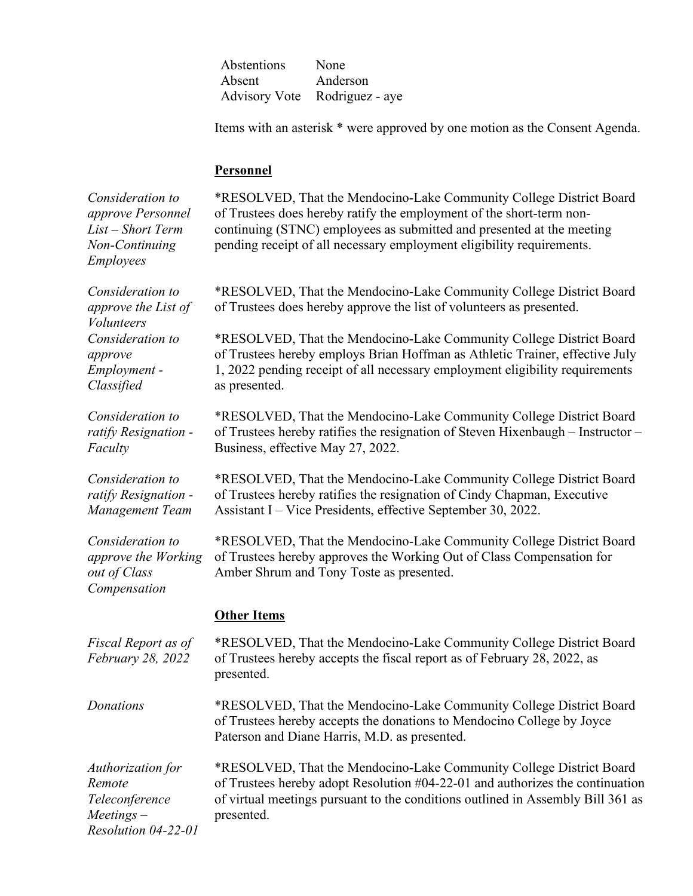| Abstentions | None                          |
|-------------|-------------------------------|
| Absent      | Anderson                      |
|             | Advisory Vote Rodriguez - aye |

Items with an asterisk \* were approved by one motion as the Consent Agenda.

#### **Personnel**

*Consideration to approve Personnel List – Short Term Non-Continuing Employees* \*RESOLVED, That the Mendocino-Lake Community College District Board of Trustees does hereby ratify the employment of the short-term noncontinuing (STNC) employees as submitted and presented at the meeting pending receipt of all necessary employment eligibility requirements. *Consideration to approve the List of Volunteers* \*RESOLVED, That the Mendocino-Lake Community College District Board of Trustees does hereby approve the list of volunteers as presented. *Consideration to approve Employment - Classified* \*RESOLVED, That the Mendocino-Lake Community College District Board of Trustees hereby employs Brian Hoffman as Athletic Trainer, effective July 1, 2022 pending receipt of all necessary employment eligibility requirements as presented. *Consideration to ratify Resignation - Faculty*  \*RESOLVED, That the Mendocino-Lake Community College District Board of Trustees hereby ratifies the resignation of Steven Hixenbaugh – Instructor – Business, effective May 27, 2022. *Consideration to ratify Resignation - Management Team* \*RESOLVED, That the Mendocino-Lake Community College District Board of Trustees hereby ratifies the resignation of Cindy Chapman, Executive Assistant I – Vice Presidents, effective September 30, 2022. *Consideration to approve the Working out of Class Compensation* \*RESOLVED, That the Mendocino-Lake Community College District Board of Trustees hereby approves the Working Out of Class Compensation for Amber Shrum and Tony Toste as presented. **Other Items** *Fiscal Report as of February 28, 2022*  \*RESOLVED, That the Mendocino-Lake Community College District Board of Trustees hereby accepts the fiscal report as of February 28, 2022, as presented. *Donations* \*RESOLVED, That the Mendocino-Lake Community College District Board of Trustees hereby accepts the donations to Mendocino College by Joyce Paterson and Diane Harris, M.D. as presented. *Authorization for Remote Teleconference Meetings – Resolution 04-22-01* \*RESOLVED, That the Mendocino-Lake Community College District Board of Trustees hereby adopt Resolution #04-22-01 and authorizes the continuation of virtual meetings pursuant to the conditions outlined in Assembly Bill 361 as presented.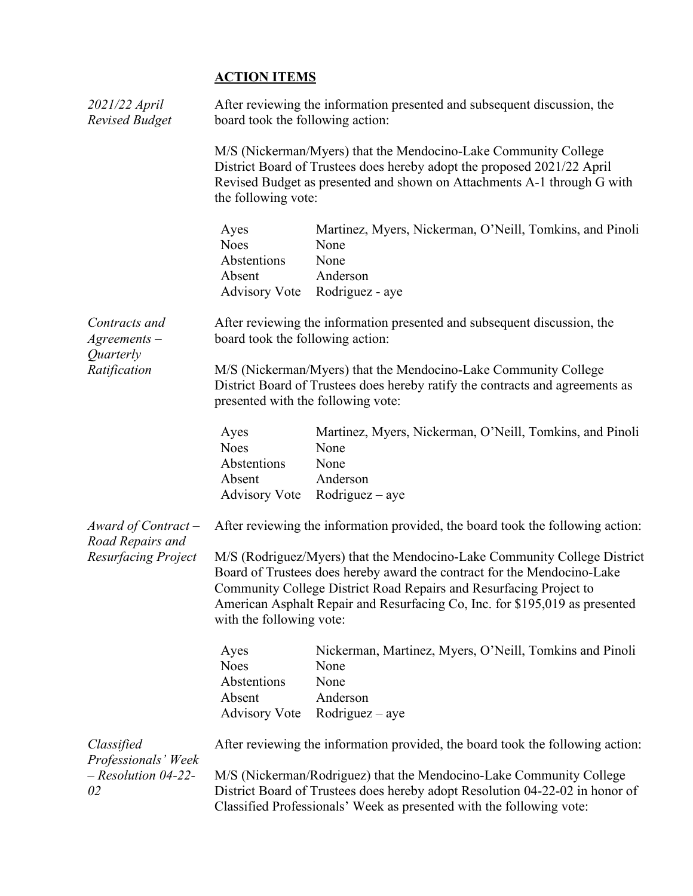# **ACTION ITEMS**

| 2021/22 April<br><b>Revised Budget</b>          | After reviewing the information presented and subsequent discussion, the<br>board took the following action: |                                                                                                                                                                                                                                                                                                          |
|-------------------------------------------------|--------------------------------------------------------------------------------------------------------------|----------------------------------------------------------------------------------------------------------------------------------------------------------------------------------------------------------------------------------------------------------------------------------------------------------|
|                                                 | the following vote:                                                                                          | M/S (Nickerman/Myers) that the Mendocino-Lake Community College<br>District Board of Trustees does hereby adopt the proposed 2021/22 April<br>Revised Budget as presented and shown on Attachments A-1 through G with                                                                                    |
|                                                 | Ayes<br><b>Noes</b><br>Abstentions<br>Absent                                                                 | Martinez, Myers, Nickerman, O'Neill, Tomkins, and Pinoli<br>None<br>None<br>Anderson<br>Advisory Vote Rodriguez - aye                                                                                                                                                                                    |
| Contracts and<br>$A$ greements $-$<br>Quarterly | After reviewing the information presented and subsequent discussion, the<br>board took the following action: |                                                                                                                                                                                                                                                                                                          |
| Ratification                                    | presented with the following vote:                                                                           | M/S (Nickerman/Myers) that the Mendocino-Lake Community College<br>District Board of Trustees does hereby ratify the contracts and agreements as                                                                                                                                                         |
|                                                 | Ayes<br><b>Noes</b><br>Abstentions<br>Absent<br><b>Advisory Vote</b>                                         | Martinez, Myers, Nickerman, O'Neill, Tomkins, and Pinoli<br>None<br>None<br>Anderson<br>$Rodriguez - aye$                                                                                                                                                                                                |
| Award of Contract $-$<br>Road Repairs and       | After reviewing the information provided, the board took the following action:                               |                                                                                                                                                                                                                                                                                                          |
| Resurfacing Project                             | with the following vote:                                                                                     | M/S (Rodriguez/Myers) that the Mendocino-Lake Community College District<br>Board of Trustees does hereby award the contract for the Mendocino-Lake<br>Community College District Road Repairs and Resurfacing Project to<br>American Asphalt Repair and Resurfacing Co, Inc. for \$195,019 as presented |
|                                                 | Ayes<br><b>Noes</b><br>Abstentions<br>Absent<br><b>Advisory Vote</b>                                         | Nickerman, Martinez, Myers, O'Neill, Tomkins and Pinoli<br>None<br>None<br>Anderson<br>$Rodriguez - aye$                                                                                                                                                                                                 |
| Classified<br>Professionals' Week               | After reviewing the information provided, the board took the following action:                               |                                                                                                                                                                                                                                                                                                          |
| $-$ Resolution 04-22-<br>02                     |                                                                                                              | M/S (Nickerman/Rodriguez) that the Mendocino-Lake Community College<br>District Board of Trustees does hereby adopt Resolution 04-22-02 in honor of<br>Classified Professionals' Week as presented with the following vote:                                                                              |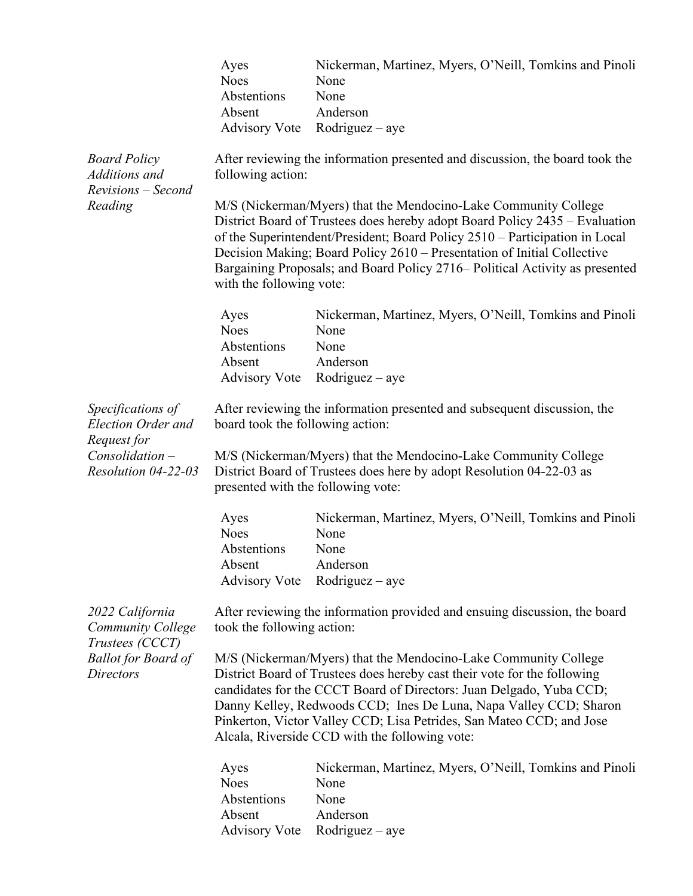|                                                                                                                  | Ayes<br><b>Noes</b><br>Abstentions<br>Absent<br><b>Advisory Vote</b>                                                                                                                                                                                                                                                                                                                                              | Nickerman, Martinez, Myers, O'Neill, Tomkins and Pinoli<br>None<br>None<br>Anderson<br>$Rodriguez - aye$                                                                                                                                                                                                                                                                                 |
|------------------------------------------------------------------------------------------------------------------|-------------------------------------------------------------------------------------------------------------------------------------------------------------------------------------------------------------------------------------------------------------------------------------------------------------------------------------------------------------------------------------------------------------------|------------------------------------------------------------------------------------------------------------------------------------------------------------------------------------------------------------------------------------------------------------------------------------------------------------------------------------------------------------------------------------------|
| <b>Board Policy</b><br>Additions and<br>Revisions - Second<br>Reading                                            | following action:                                                                                                                                                                                                                                                                                                                                                                                                 | After reviewing the information presented and discussion, the board took the                                                                                                                                                                                                                                                                                                             |
|                                                                                                                  | with the following vote:                                                                                                                                                                                                                                                                                                                                                                                          | M/S (Nickerman/Myers) that the Mendocino-Lake Community College<br>District Board of Trustees does hereby adopt Board Policy 2435 – Evaluation<br>of the Superintendent/President; Board Policy 2510 - Participation in Local<br>Decision Making; Board Policy 2610 - Presentation of Initial Collective<br>Bargaining Proposals; and Board Policy 2716– Political Activity as presented |
|                                                                                                                  | Ayes<br><b>Noes</b>                                                                                                                                                                                                                                                                                                                                                                                               | Nickerman, Martinez, Myers, O'Neill, Tomkins and Pinoli<br>None                                                                                                                                                                                                                                                                                                                          |
|                                                                                                                  | Abstentions                                                                                                                                                                                                                                                                                                                                                                                                       | None                                                                                                                                                                                                                                                                                                                                                                                     |
|                                                                                                                  | Absent                                                                                                                                                                                                                                                                                                                                                                                                            | Anderson                                                                                                                                                                                                                                                                                                                                                                                 |
|                                                                                                                  | Advisory Vote                                                                                                                                                                                                                                                                                                                                                                                                     | $Rodriguez - aye$                                                                                                                                                                                                                                                                                                                                                                        |
| Specifications of<br><b>Election Order and</b><br>Request for                                                    | After reviewing the information presented and subsequent discussion, the<br>board took the following action:                                                                                                                                                                                                                                                                                                      |                                                                                                                                                                                                                                                                                                                                                                                          |
| $Consolidation -$<br>Resolution 04-22-03                                                                         | presented with the following vote:                                                                                                                                                                                                                                                                                                                                                                                | M/S (Nickerman/Myers) that the Mendocino-Lake Community College<br>District Board of Trustees does here by adopt Resolution 04-22-03 as                                                                                                                                                                                                                                                  |
|                                                                                                                  | Ayes<br><b>Noes</b><br>Abstentions                                                                                                                                                                                                                                                                                                                                                                                | Nickerman, Martinez, Myers, O'Neill, Tomkins and Pinoli<br>None<br>None                                                                                                                                                                                                                                                                                                                  |
|                                                                                                                  | Absent                                                                                                                                                                                                                                                                                                                                                                                                            | Anderson                                                                                                                                                                                                                                                                                                                                                                                 |
|                                                                                                                  | <b>Advisory Vote</b>                                                                                                                                                                                                                                                                                                                                                                                              | $Rodriguez - aye$                                                                                                                                                                                                                                                                                                                                                                        |
| 2022 California<br><b>Community College</b><br>Trustees (CCCT)<br><b>Ballot for Board of</b><br><b>Directors</b> | took the following action:                                                                                                                                                                                                                                                                                                                                                                                        | After reviewing the information provided and ensuing discussion, the board                                                                                                                                                                                                                                                                                                               |
|                                                                                                                  | M/S (Nickerman/Myers) that the Mendocino-Lake Community College<br>District Board of Trustees does hereby cast their vote for the following<br>candidates for the CCCT Board of Directors: Juan Delgado, Yuba CCD;<br>Danny Kelley, Redwoods CCD; Ines De Luna, Napa Valley CCD; Sharon<br>Pinkerton, Victor Valley CCD; Lisa Petrides, San Mateo CCD; and Jose<br>Alcala, Riverside CCD with the following vote: |                                                                                                                                                                                                                                                                                                                                                                                          |
|                                                                                                                  | Ayes<br><b>Noes</b><br>Abstentions<br>Absent<br><b>Advisory Vote</b>                                                                                                                                                                                                                                                                                                                                              | Nickerman, Martinez, Myers, O'Neill, Tomkins and Pinoli<br>None<br>None<br>Anderson<br>$Rodriguez - aye$                                                                                                                                                                                                                                                                                 |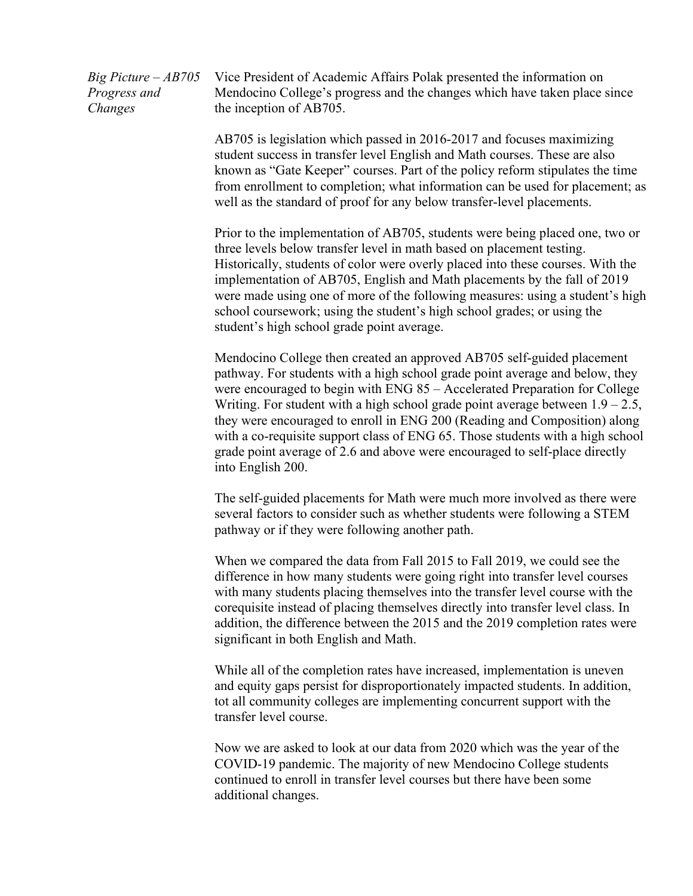*Big Picture – AB705 Progress and Changes*

Vice President of Academic Affairs Polak presented the information on Mendocino College's progress and the changes which have taken place since the inception of AB705.

AB705 is legislation which passed in 2016-2017 and focuses maximizing student success in transfer level English and Math courses. These are also known as "Gate Keeper" courses. Part of the policy reform stipulates the time from enrollment to completion; what information can be used for placement; as well as the standard of proof for any below transfer-level placements.

Prior to the implementation of AB705, students were being placed one, two or three levels below transfer level in math based on placement testing. Historically, students of color were overly placed into these courses. With the implementation of AB705, English and Math placements by the fall of 2019 were made using one of more of the following measures: using a student's high school coursework; using the student's high school grades; or using the student's high school grade point average.

Mendocino College then created an approved AB705 self-guided placement pathway. For students with a high school grade point average and below, they were encouraged to begin with ENG 85 – Accelerated Preparation for College Writing. For student with a high school grade point average between  $1.9 - 2.5$ , they were encouraged to enroll in ENG 200 (Reading and Composition) along with a co-requisite support class of ENG 65. Those students with a high school grade point average of 2.6 and above were encouraged to self-place directly into English 200.

The self-guided placements for Math were much more involved as there were several factors to consider such as whether students were following a STEM pathway or if they were following another path.

When we compared the data from Fall 2015 to Fall 2019, we could see the difference in how many students were going right into transfer level courses with many students placing themselves into the transfer level course with the corequisite instead of placing themselves directly into transfer level class. In addition, the difference between the 2015 and the 2019 completion rates were significant in both English and Math.

While all of the completion rates have increased, implementation is uneven and equity gaps persist for disproportionately impacted students. In addition, tot all community colleges are implementing concurrent support with the transfer level course.

Now we are asked to look at our data from 2020 which was the year of the COVID-19 pandemic. The majority of new Mendocino College students continued to enroll in transfer level courses but there have been some additional changes.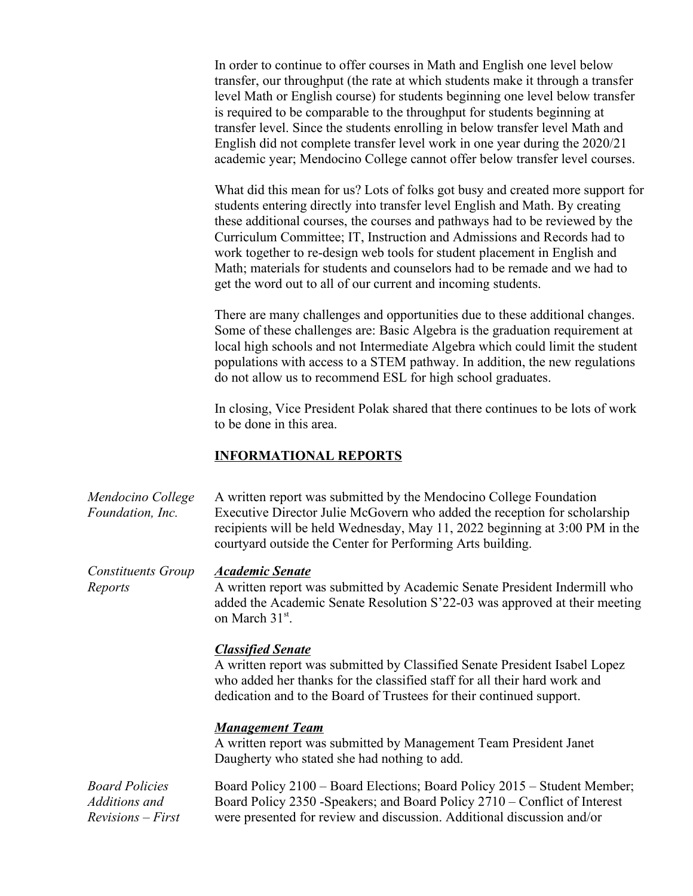In order to continue to offer courses in Math and English one level below transfer, our throughput (the rate at which students make it through a transfer level Math or English course) for students beginning one level below transfer is required to be comparable to the throughput for students beginning at transfer level. Since the students enrolling in below transfer level Math and English did not complete transfer level work in one year during the 2020/21 academic year; Mendocino College cannot offer below transfer level courses.

What did this mean for us? Lots of folks got busy and created more support for students entering directly into transfer level English and Math. By creating these additional courses, the courses and pathways had to be reviewed by the Curriculum Committee; IT, Instruction and Admissions and Records had to work together to re-design web tools for student placement in English and Math; materials for students and counselors had to be remade and we had to get the word out to all of our current and incoming students.

There are many challenges and opportunities due to these additional changes. Some of these challenges are: Basic Algebra is the graduation requirement at local high schools and not Intermediate Algebra which could limit the student populations with access to a STEM pathway. In addition, the new regulations do not allow us to recommend ESL for high school graduates.

In closing, Vice President Polak shared that there continues to be lots of work to be done in this area.

## **INFORMATIONAL REPORTS**

| Mendocino College       | A written report was submitted by the Mendocino College Foundation                                                                         |
|-------------------------|--------------------------------------------------------------------------------------------------------------------------------------------|
| <i>Foundation, Inc.</i> | Executive Director Julie McGovern who added the reception for scholarship                                                                  |
|                         | recipients will be held Wednesday, May 11, 2022 beginning at 3:00 PM in the<br>courty and outside the Center for Performing Arts building. |

*Constituents Group Reports Academic Senate* A written report was submitted by Academic Senate President Indermill who added the Academic Senate Resolution S'22-03 was approved at their meeting on March 31<sup>st</sup>.

## *Classified Senate*

A written report was submitted by Classified Senate President Isabel Lopez who added her thanks for the classified staff for all their hard work and dedication and to the Board of Trustees for their continued support.

### *Management Team*

A written report was submitted by Management Team President Janet Daugherty who stated she had nothing to add.

*Board Policies Additions and Revisions – First*  Board Policy 2100 – Board Elections; Board Policy 2015 – Student Member; Board Policy 2350 -Speakers; and Board Policy 2710 – Conflict of Interest were presented for review and discussion. Additional discussion and/or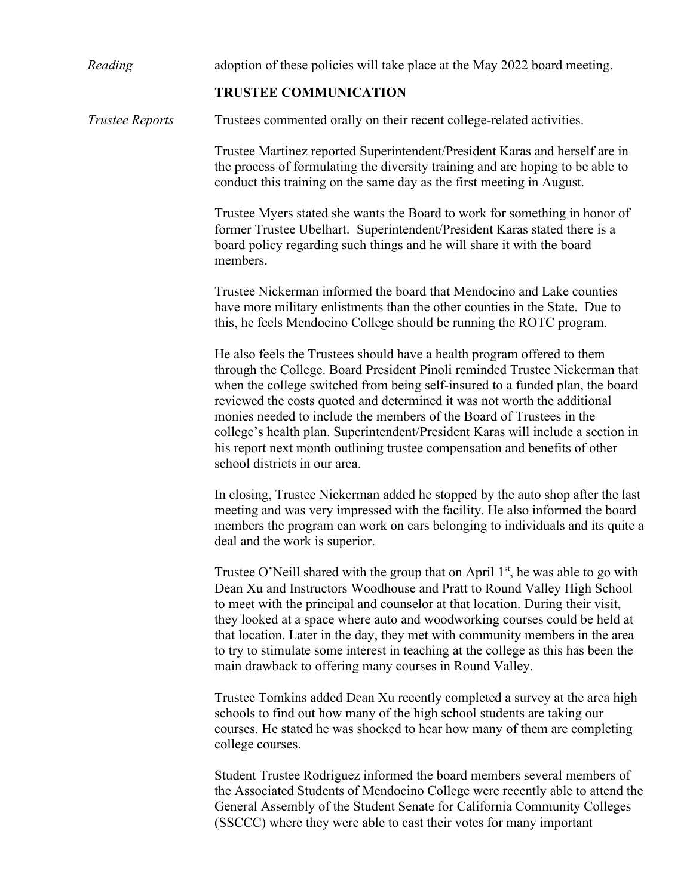| Reading                | adoption of these policies will take place at the May 2022 board meeting.                                                                                                                                                                                                                                                                                                                                                                                                                                                                                                                     |
|------------------------|-----------------------------------------------------------------------------------------------------------------------------------------------------------------------------------------------------------------------------------------------------------------------------------------------------------------------------------------------------------------------------------------------------------------------------------------------------------------------------------------------------------------------------------------------------------------------------------------------|
|                        | <b>TRUSTEE COMMUNICATION</b>                                                                                                                                                                                                                                                                                                                                                                                                                                                                                                                                                                  |
| <b>Trustee Reports</b> | Trustees commented orally on their recent college-related activities.                                                                                                                                                                                                                                                                                                                                                                                                                                                                                                                         |
|                        | Trustee Martinez reported Superintendent/President Karas and herself are in<br>the process of formulating the diversity training and are hoping to be able to<br>conduct this training on the same day as the first meeting in August.                                                                                                                                                                                                                                                                                                                                                        |
|                        | Trustee Myers stated she wants the Board to work for something in honor of<br>former Trustee Ubelhart. Superintendent/President Karas stated there is a<br>board policy regarding such things and he will share it with the board<br>members.                                                                                                                                                                                                                                                                                                                                                 |
|                        | Trustee Nickerman informed the board that Mendocino and Lake counties<br>have more military enlistments than the other counties in the State. Due to<br>this, he feels Mendocino College should be running the ROTC program.                                                                                                                                                                                                                                                                                                                                                                  |
|                        | He also feels the Trustees should have a health program offered to them<br>through the College. Board President Pinoli reminded Trustee Nickerman that<br>when the college switched from being self-insured to a funded plan, the board<br>reviewed the costs quoted and determined it was not worth the additional<br>monies needed to include the members of the Board of Trustees in the<br>college's health plan. Superintendent/President Karas will include a section in<br>his report next month outlining trustee compensation and benefits of other<br>school districts in our area. |
|                        | In closing, Trustee Nickerman added he stopped by the auto shop after the last<br>meeting and was very impressed with the facility. He also informed the board<br>members the program can work on cars belonging to individuals and its quite a<br>deal and the work is superior.                                                                                                                                                                                                                                                                                                             |
|                        | Trustee O'Neill shared with the group that on April $1st$ , he was able to go with<br>Dean Xu and Instructors Woodhouse and Pratt to Round Valley High School<br>to meet with the principal and counselor at that location. During their visit,<br>they looked at a space where auto and woodworking courses could be held at<br>that location. Later in the day, they met with community members in the area<br>to try to stimulate some interest in teaching at the college as this has been the<br>main drawback to offering many courses in Round Valley.                                 |
|                        | Trustee Tomkins added Dean Xu recently completed a survey at the area high<br>schools to find out how many of the high school students are taking our<br>courses. He stated he was shocked to hear how many of them are completing<br>college courses.                                                                                                                                                                                                                                                                                                                                        |
|                        | Student Trustee Rodriguez informed the board members several members of                                                                                                                                                                                                                                                                                                                                                                                                                                                                                                                       |

the Associated Students of Mendocino College were recently able to attend the General Assembly of the Student Senate for California Community Colleges (SSCCC) where they were able to cast their votes for many important